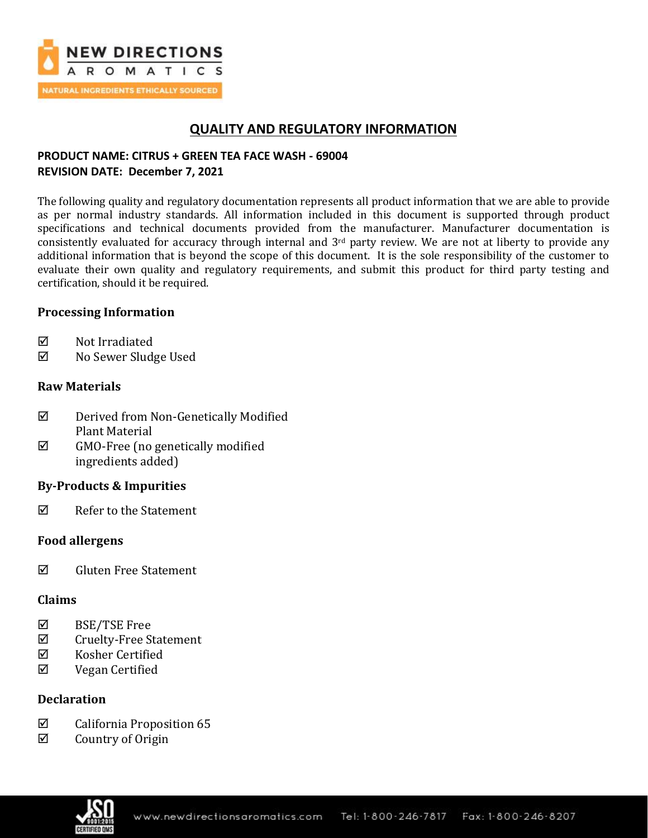

## **QUALITY AND REGULATORY INFORMATION**

## **PRODUCT NAME: CITRUS + GREEN TEA FACE WASH - 69004 REVISION DATE: December 7, 2021**

The following quality and regulatory documentation represents all product information that we are able to provide as per normal industry standards. All information included in this document is supported through product specifications and technical documents provided from the manufacturer. Manufacturer documentation is consistently evaluated for accuracy through internal and  $3<sup>rd</sup>$  party review. We are not at liberty to provide any additional information that is beyond the scope of this document. It is the sole responsibility of the customer to evaluate their own quality and regulatory requirements, and submit this product for third party testing and certification, should it be required.

### **Processing Information**

- $\nabla$  Not Irradiated
- No Sewer Sludge Used

### **Raw Materials**

- Derived from Non-Genetically Modified Plant Material
- $\boxtimes$  GMO-Free (no genetically modified ingredients added)

### **By-Products & Impurities**

 $\nabla$  Refer to the Statement

### **Food allergens**

 $\boxtimes$  Gluten Free Statement

### **Claims**

- BSE/TSE Free
- $\boxtimes$  Cruelty-Free Statement
- $\boxtimes$  Kosher Certified
- Vegan Certified

### **Declaration**

- $\boxtimes$  California Proposition 65
- $\boxtimes$  Country of Origin

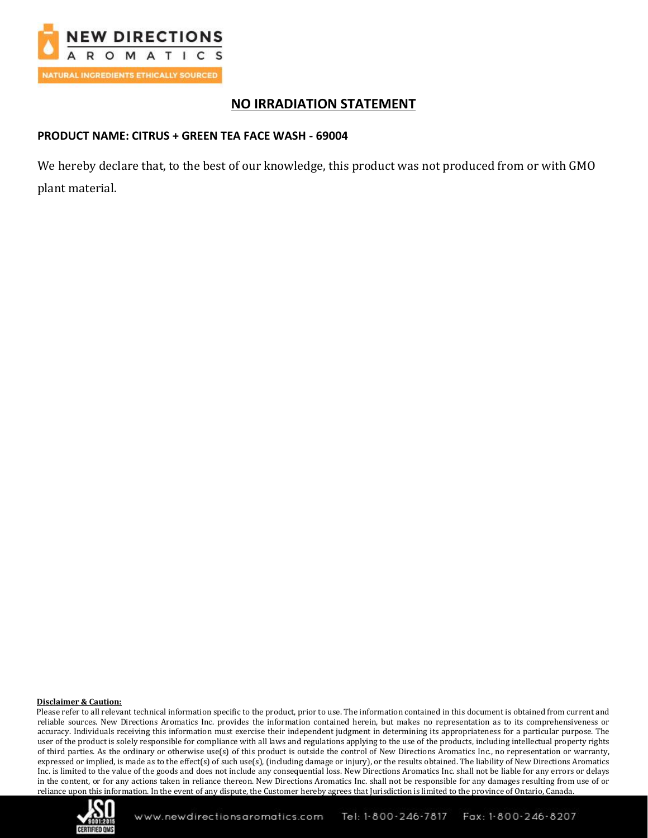

# **NO IRRADIATION STATEMENT**

### **PRODUCT NAME: CITRUS + GREEN TEA FACE WASH - 69004**

We hereby declare that, to the best of our knowledge, this product was not produced from or with GMO plant material.

#### **Disclaimer & Caution:**

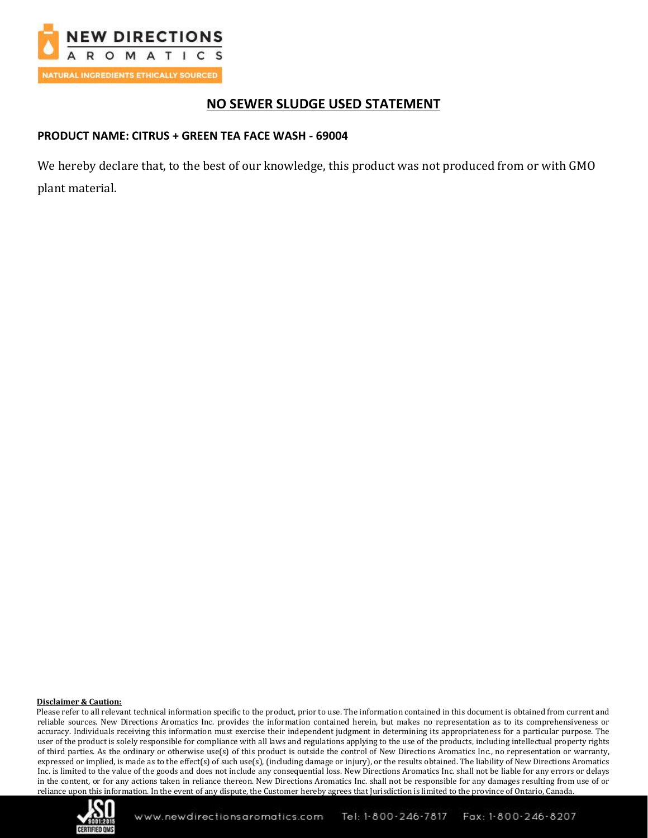

# **NO SEWER SLUDGE USED STATEMENT**

### **PRODUCT NAME: CITRUS + GREEN TEA FACE WASH - 69004**

We hereby declare that, to the best of our knowledge, this product was not produced from or with GMO plant material.

#### **Disclaimer & Caution:**

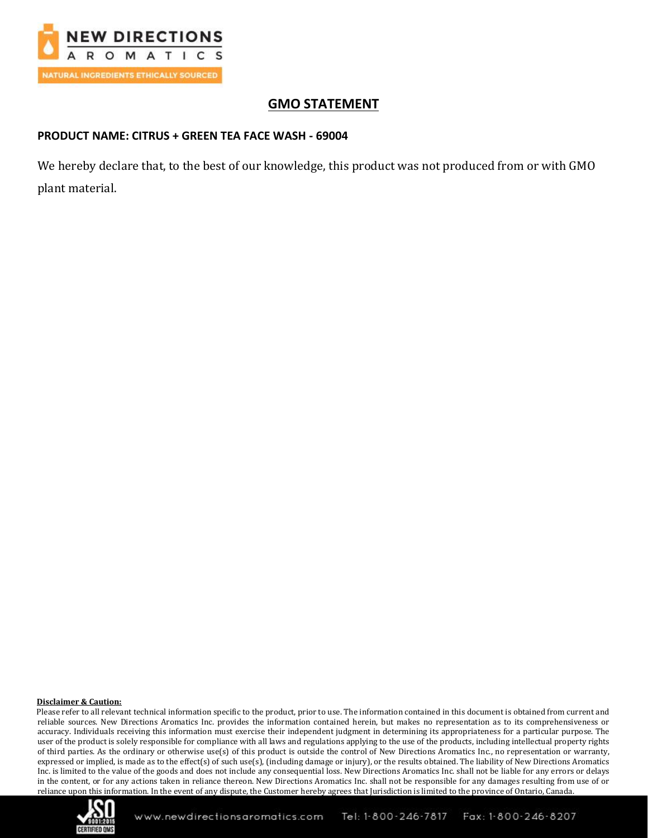

# **GMO STATEMENT**

### **PRODUCT NAME: CITRUS + GREEN TEA FACE WASH - 69004**

We hereby declare that, to the best of our knowledge, this product was not produced from or with GMO plant material.

#### **Disclaimer & Caution:**

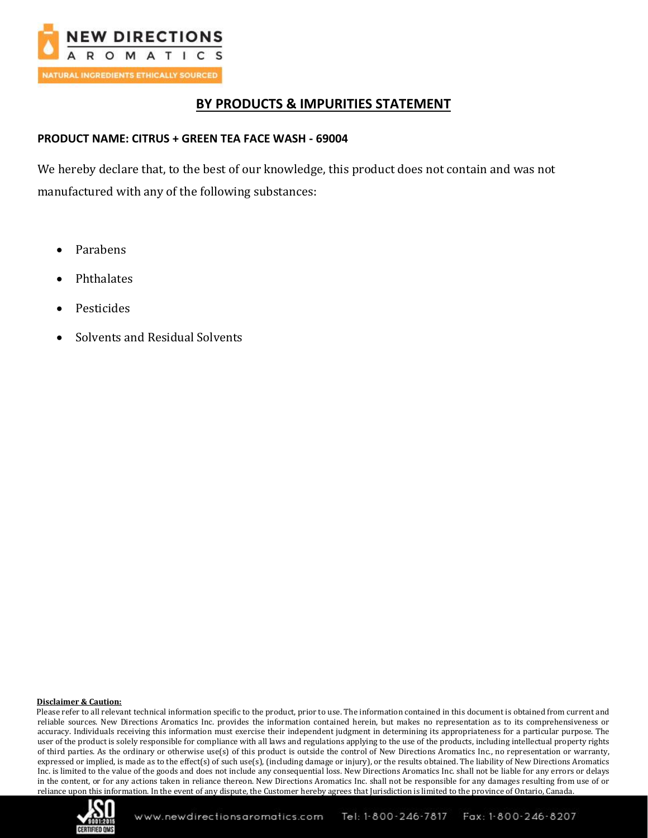

## **BY PRODUCTS & IMPURITIES STATEMENT**

### **PRODUCT NAME: CITRUS + GREEN TEA FACE WASH - 69004**

We hereby declare that, to the best of our knowledge, this product does not contain and was not manufactured with any of the following substances:

- Parabens
- Phthalates
- **Pesticides**
- Solvents and Residual Solvents

#### **Disclaimer & Caution:**

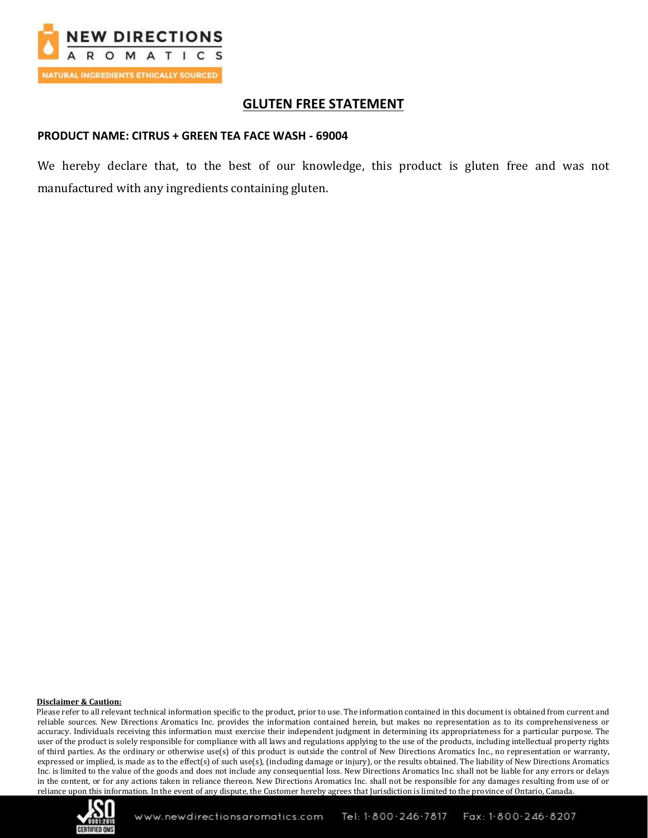

## **GLUTEN FREE STATEMENT**

### **PRODUCT NAME: CITRUS + GREEN TEA FACE WASH - 69004**

We hereby declare that, to the best of our knowledge, this product is gluten free and was not manufactured with any ingredients containing gluten.

#### **Disclaimer & Caution:**

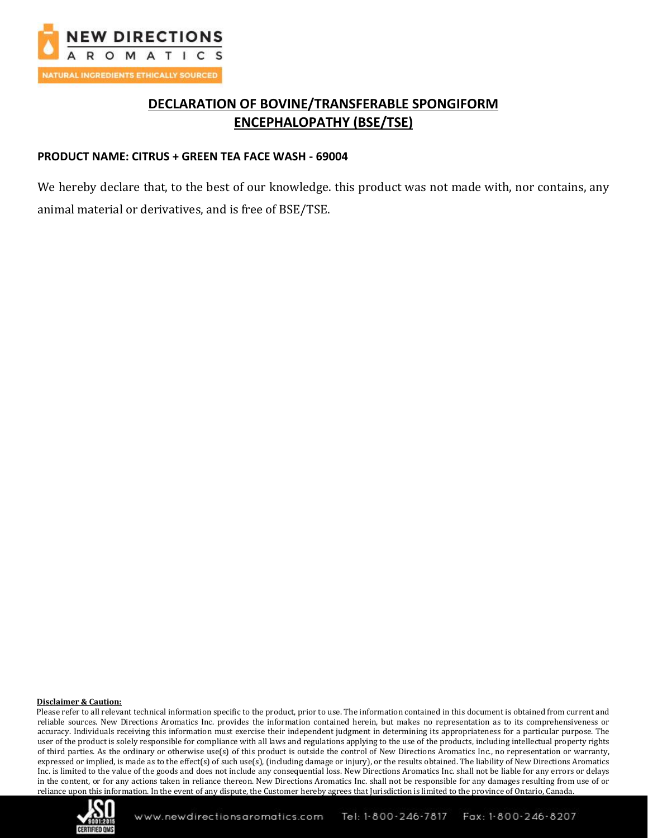

# **DECLARATION OF BOVINE/TRANSFERABLE SPONGIFORM ENCEPHALOPATHY (BSE/TSE)**

### **PRODUCT NAME: CITRUS + GREEN TEA FACE WASH - 69004**

We hereby declare that, to the best of our knowledge. this product was not made with, nor contains, any animal material or derivatives, and is free of BSE/TSE.

#### **Disclaimer & Caution:**

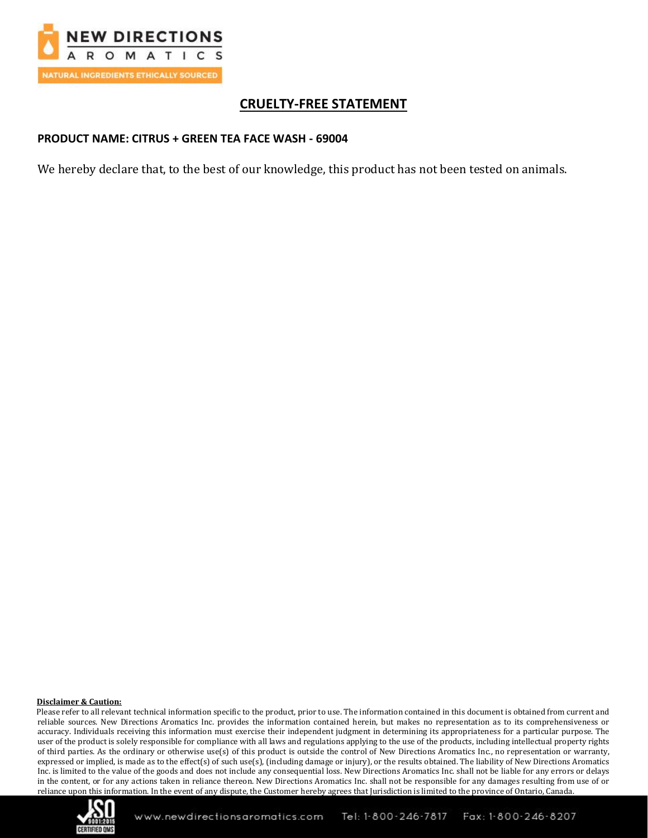

# **CRUELTY-FREE STATEMENT**

### **PRODUCT NAME: CITRUS + GREEN TEA FACE WASH - 69004**

We hereby declare that, to the best of our knowledge, this product has not been tested on animals.

#### **Disclaimer & Caution:**

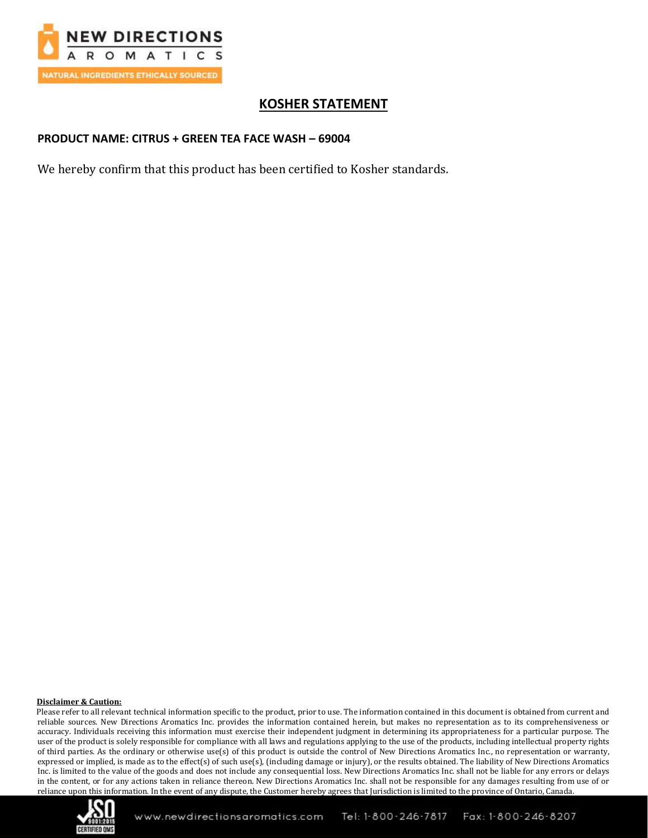

# **KOSHER STATEMENT**

### **PRODUCT NAME: CITRUS + GREEN TEA FACE WASH – 69004**

We hereby confirm that this product has been certified to Kosher standards.

#### **Disclaimer & Caution:**

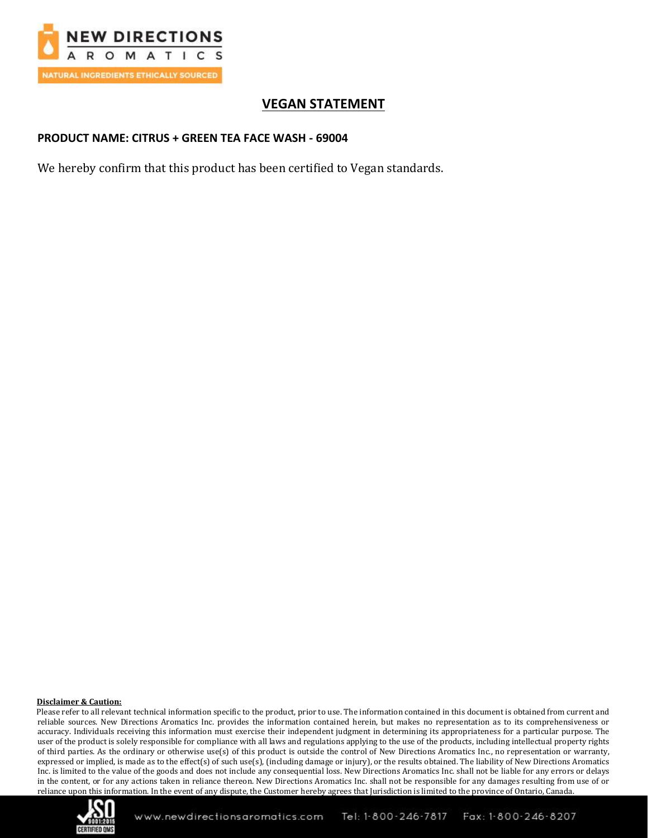

# **VEGAN STATEMENT**

### **PRODUCT NAME: CITRUS + GREEN TEA FACE WASH - 69004**

We hereby confirm that this product has been certified to Vegan standards.

#### **Disclaimer & Caution:**

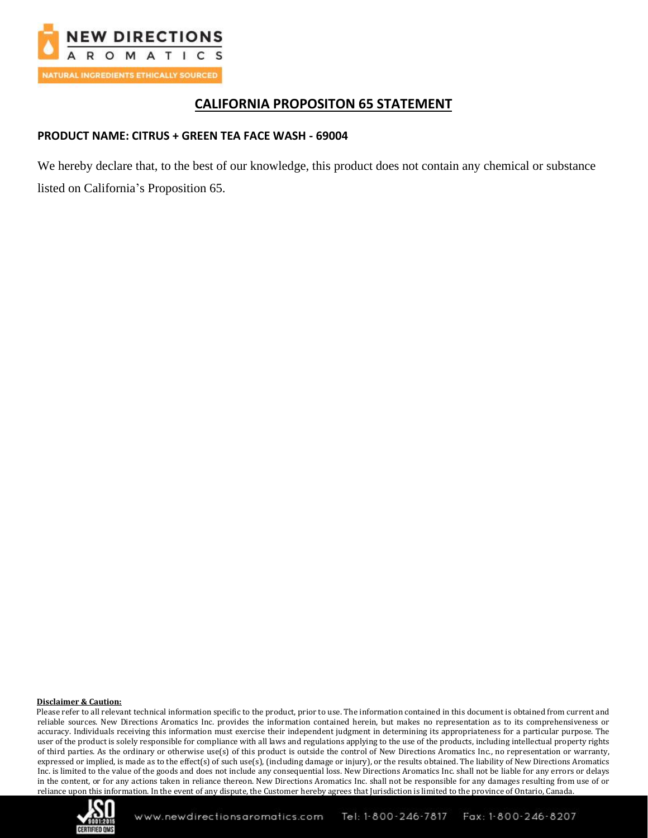

## **CALIFORNIA PROPOSITON 65 STATEMENT**

### **PRODUCT NAME: CITRUS + GREEN TEA FACE WASH - 69004**

We hereby declare that, to the best of our knowledge, this product does not contain any chemical or substance listed on California's Proposition 65.

#### **Disclaimer & Caution:**